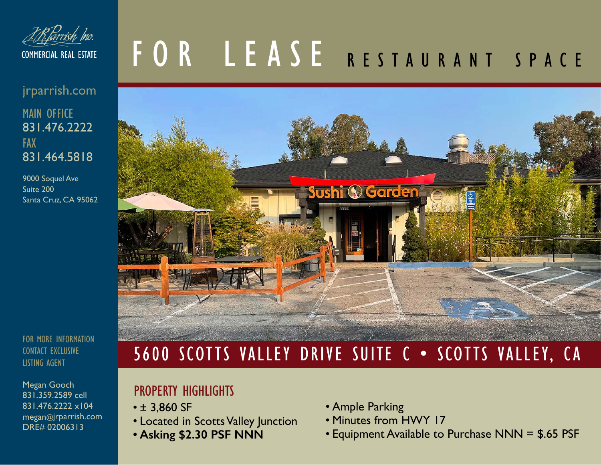

#### jrparrish.com 831.476.2222 MAIN OFFICE 831.464.5818 FAX

9000 Soquel Ave Suite 200 Santa Cruz, CA 95062

FOR MORE INFORMATION CONTACT EXCLUSIVE LISTING AGENT

Megan Gooch 831.359.2589 cell 831.476.2222 x104 megan@jrparrish.com DRE# 02006313

# FOR LEASE RESTAURANT SPACE



## 5600 SCOTTS VALLEY DRIVE SUITE C • SCOTTS VALLEY, CA

#### PROPERTY HIGHLIGHTS

- ± 3,860 SF
- Located in Scotts Valley Junction
- **• Asking \$2.30 PSF NNN**
- Ample Parking
- Minutes from HWY 17
- Equipment Available to Purchase NNN = \$.65 PSF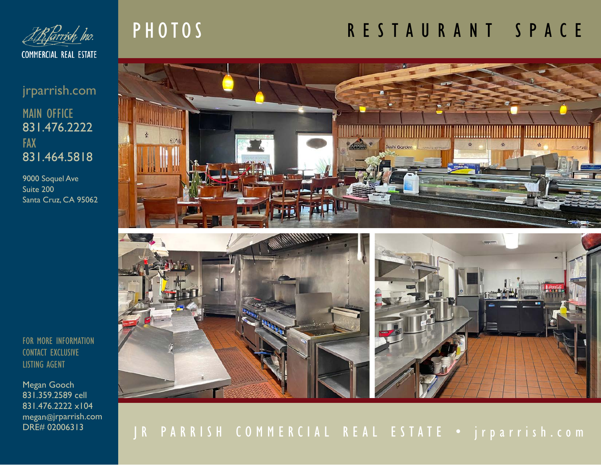

jrparrish.com 831.476.2222 MAIN OFFICE 831.464.5818 FAX

9000 Soquel Ave Suite 200 Santa Cruz, CA 95062

FOR MORE INFORMATION CONTACT EXCLUSIVE LISTING AGENT

Megan Gooch 831.359.2589 cell 831.476.2222 x104 megan@jrparrish.com DRE# 02006313

## PHOTOS

## RESTAURANT SPACE



### JR PARRISH COMMERCIAL REAL ESTATE • jrparrish.com